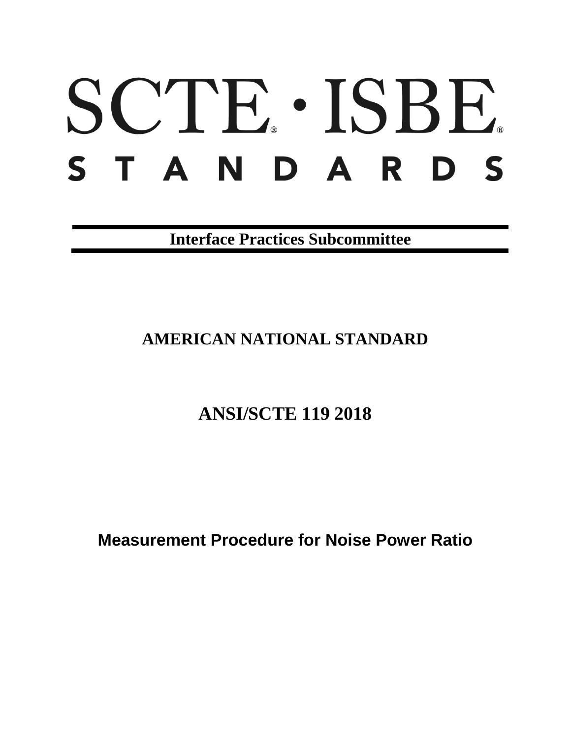# SCTE · ISBE. STANDARDS

**Interface Practices Subcommittee**

# **AMERICAN NATIONAL STANDARD**

# **ANSI/SCTE 119 2018**

**Measurement Procedure for Noise Power Ratio**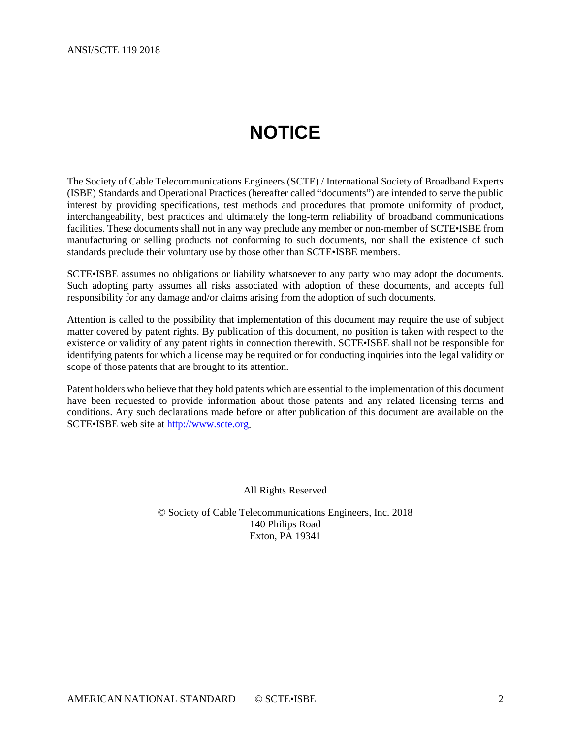# **NOTICE**

<span id="page-1-0"></span>The Society of Cable Telecommunications Engineers (SCTE) / International Society of Broadband Experts (ISBE) Standards and Operational Practices (hereafter called "documents") are intended to serve the public interest by providing specifications, test methods and procedures that promote uniformity of product, interchangeability, best practices and ultimately the long-term reliability of broadband communications facilities. These documents shall not in any way preclude any member or non-member of SCTE•ISBE from manufacturing or selling products not conforming to such documents, nor shall the existence of such standards preclude their voluntary use by those other than SCTE•ISBE members.

SCTE•ISBE assumes no obligations or liability whatsoever to any party who may adopt the documents. Such adopting party assumes all risks associated with adoption of these documents, and accepts full responsibility for any damage and/or claims arising from the adoption of such documents.

Attention is called to the possibility that implementation of this document may require the use of subject matter covered by patent rights. By publication of this document, no position is taken with respect to the existence or validity of any patent rights in connection therewith. SCTE•ISBE shall not be responsible for identifying patents for which a license may be required or for conducting inquiries into the legal validity or scope of those patents that are brought to its attention.

Patent holders who believe that they hold patents which are essential to the implementation of this document have been requested to provide information about those patents and any related licensing terms and conditions. Any such declarations made before or after publication of this document are available on the SCTE•ISBE web site at [http://www.scte.org.](http://www.scte.org/)

All Rights Reserved

© Society of Cable Telecommunications Engineers, Inc. 2018 140 Philips Road Exton, PA 19341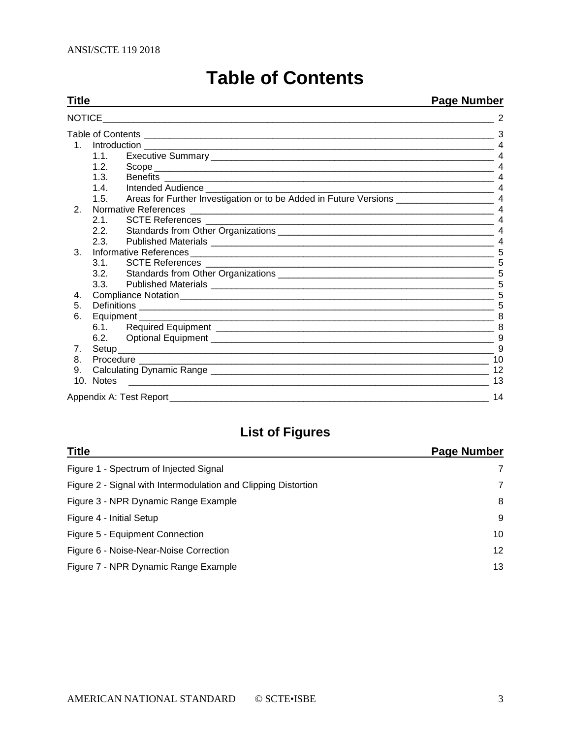<span id="page-2-0"></span>

| Title         | <b>Page Number</b> |                      |                |
|---------------|--------------------|----------------------|----------------|
| <b>NOTICE</b> |                    |                      |                |
|               |                    |                      |                |
| $1_{1}$       |                    |                      |                |
|               | 1.1.               |                      |                |
|               | 1.2.               |                      |                |
|               | 1.3.               |                      |                |
|               | 1.4                |                      | $\overline{4}$ |
|               | 1.5.               |                      |                |
| 2.            |                    | Normative References |                |
|               | 2.1                |                      | $\overline{4}$ |
|               | 2.2.               |                      |                |
|               | 2.3.               |                      |                |
| 3.            |                    |                      |                |
|               | 3.1.               |                      |                |
|               | 3.2.               |                      |                |
|               | 3.3.               |                      |                |
| 4.            |                    |                      |                |
| 5.            |                    |                      |                |
| 6.            |                    | Equipment            |                |
|               |                    |                      |                |
|               | 6.2.               |                      | 9              |
| 7.            |                    |                      | 9              |
| 8.            |                    |                      |                |
| 9.            |                    |                      | 12             |
|               | 10. Notes          |                      | 13             |
|               |                    |                      | 14             |

# **Table of Contents**

# **List of Figures**

| <b>Title</b>                                                   | Page Number     |
|----------------------------------------------------------------|-----------------|
| Figure 1 - Spectrum of Injected Signal                         | 7               |
| Figure 2 - Signal with Intermodulation and Clipping Distortion | 7               |
| Figure 3 - NPR Dynamic Range Example                           | 8               |
| Figure 4 - Initial Setup                                       | 9               |
| Figure 5 - Equipment Connection                                | 10              |
| Figure 6 - Noise-Near-Noise Correction                         | 12 <sup>2</sup> |
| Figure 7 - NPR Dynamic Range Example                           | 13              |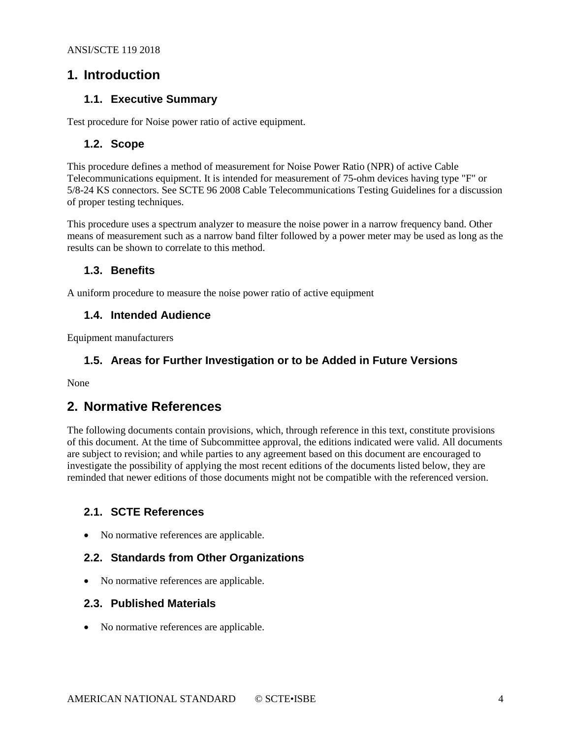### <span id="page-3-1"></span><span id="page-3-0"></span>**1. Introduction**

#### **1.1. Executive Summary**

<span id="page-3-2"></span>Test procedure for Noise power ratio of active equipment.

#### **1.2. Scope**

This procedure defines a method of measurement for Noise Power Ratio (NPR) of active Cable Telecommunications equipment. It is intended for measurement of 75-ohm devices having type "F" or 5/8-24 KS connectors. See SCTE 96 2008 Cable Telecommunications Testing Guidelines for a discussion of proper testing techniques.

This procedure uses a spectrum analyzer to measure the noise power in a narrow frequency band. Other means of measurement such as a narrow band filter followed by a power meter may be used as long as the results can be shown to correlate to this method.

#### <span id="page-3-3"></span>**1.3. Benefits**

<span id="page-3-4"></span>A uniform procedure to measure the noise power ratio of active equipment

#### **1.4. Intended Audience**

<span id="page-3-5"></span>Equipment manufacturers

#### **1.5. Areas for Further Investigation or to be Added in Future Versions**

<span id="page-3-6"></span>None

## **2. Normative References**

The following documents contain provisions, which, through reference in this text, constitute provisions of this document. At the time of Subcommittee approval, the editions indicated were valid. All documents are subject to revision; and while parties to any agreement based on this document are encouraged to investigate the possibility of applying the most recent editions of the documents listed below, they are reminded that newer editions of those documents might not be compatible with the referenced version.

#### <span id="page-3-7"></span>**2.1. SCTE References**

<span id="page-3-8"></span>• No normative references are applicable.

#### **2.2. Standards from Other Organizations**

• No normative references are applicable.

#### <span id="page-3-9"></span>**2.3. Published Materials**

• No normative references are applicable.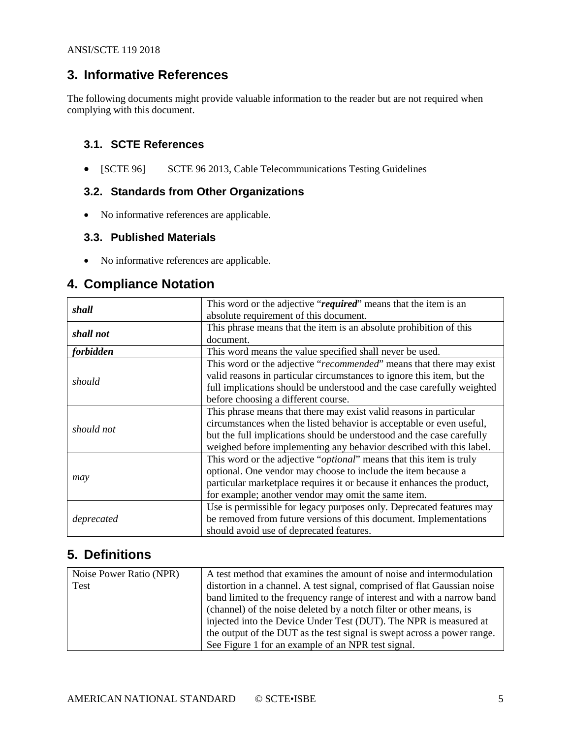# <span id="page-4-0"></span>**3. Informative References**

The following documents might provide valuable information to the reader but are not required when complying with this document.

#### <span id="page-4-1"></span>**3.1. SCTE References**

<span id="page-4-2"></span>• [SCTE 96] SCTE 96 2013, Cable Telecommunications Testing Guidelines

#### **3.2. Standards from Other Organizations**

• No informative references are applicable.

#### <span id="page-4-3"></span>**3.3. Published Materials**

• No informative references are applicable.

# <span id="page-4-4"></span>**4. Compliance Notation**

| shall            | This word or the adjective "required" means that the item is an              |  |  |  |
|------------------|------------------------------------------------------------------------------|--|--|--|
|                  | absolute requirement of this document.                                       |  |  |  |
| shall not        | This phrase means that the item is an absolute prohibition of this           |  |  |  |
|                  | document.                                                                    |  |  |  |
| <i>forbidden</i> | This word means the value specified shall never be used.                     |  |  |  |
|                  | This word or the adjective "recommended" means that there may exist          |  |  |  |
| should           | valid reasons in particular circumstances to ignore this item, but the       |  |  |  |
|                  | full implications should be understood and the case carefully weighted       |  |  |  |
|                  | before choosing a different course.                                          |  |  |  |
|                  | This phrase means that there may exist valid reasons in particular           |  |  |  |
| should not       | circumstances when the listed behavior is acceptable or even useful,         |  |  |  |
|                  | but the full implications should be understood and the case carefully        |  |  |  |
|                  | weighed before implementing any behavior described with this label.          |  |  |  |
|                  | This word or the adjective " <i>optional</i> " means that this item is truly |  |  |  |
|                  | optional. One vendor may choose to include the item because a                |  |  |  |
| may              | particular marketplace requires it or because it enhances the product,       |  |  |  |
|                  | for example; another vendor may omit the same item.                          |  |  |  |
|                  | Use is permissible for legacy purposes only. Deprecated features may         |  |  |  |
| deprecated       | be removed from future versions of this document. Implementations            |  |  |  |
|                  | should avoid use of deprecated features.                                     |  |  |  |

## <span id="page-4-5"></span>**5. Definitions**

| Noise Power Ratio (NPR)                                           | A test method that examines the amount of noise and intermodulation      |
|-------------------------------------------------------------------|--------------------------------------------------------------------------|
| Test                                                              | distortion in a channel. A test signal, comprised of flat Gaussian noise |
|                                                                   | band limited to the frequency range of interest and with a narrow band   |
|                                                                   | (channel) of the noise deleted by a notch filter or other means, is      |
| injected into the Device Under Test (DUT). The NPR is measured at |                                                                          |
|                                                                   | the output of the DUT as the test signal is swept across a power range.  |
|                                                                   | See Figure 1 for an example of an NPR test signal.                       |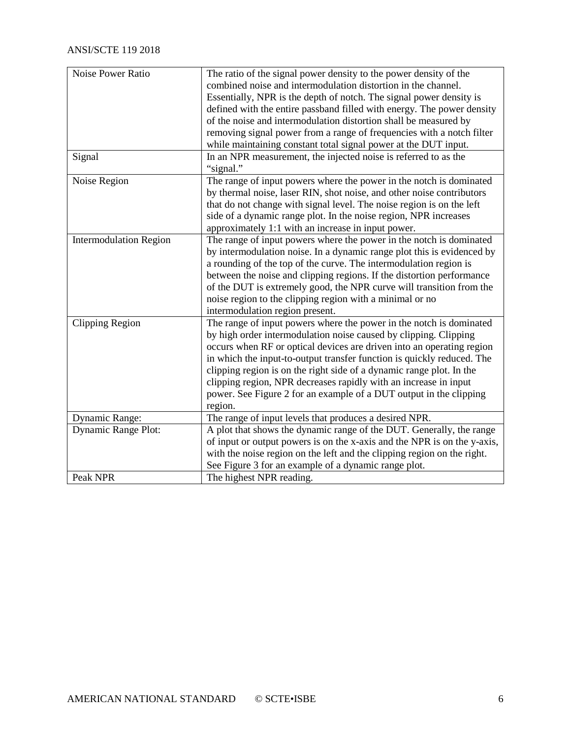| <b>Noise Power Ratio</b>      | The ratio of the signal power density to the power density of the        |
|-------------------------------|--------------------------------------------------------------------------|
|                               | combined noise and intermodulation distortion in the channel.            |
|                               | Essentially, NPR is the depth of notch. The signal power density is      |
|                               | defined with the entire passband filled with energy. The power density   |
|                               | of the noise and intermodulation distortion shall be measured by         |
|                               | removing signal power from a range of frequencies with a notch filter    |
|                               | while maintaining constant total signal power at the DUT input.          |
| Signal                        | In an NPR measurement, the injected noise is referred to as the          |
|                               | "signal."                                                                |
| Noise Region                  | The range of input powers where the power in the notch is dominated      |
|                               | by thermal noise, laser RIN, shot noise, and other noise contributors    |
|                               | that do not change with signal level. The noise region is on the left    |
|                               | side of a dynamic range plot. In the noise region, NPR increases         |
|                               | approximately 1:1 with an increase in input power.                       |
| <b>Intermodulation Region</b> | The range of input powers where the power in the notch is dominated      |
|                               | by intermodulation noise. In a dynamic range plot this is evidenced by   |
|                               | a rounding of the top of the curve. The intermodulation region is        |
|                               | between the noise and clipping regions. If the distortion performance    |
|                               | of the DUT is extremely good, the NPR curve will transition from the     |
|                               | noise region to the clipping region with a minimal or no                 |
|                               | intermodulation region present.                                          |
| <b>Clipping Region</b>        | The range of input powers where the power in the notch is dominated      |
|                               | by high order intermodulation noise caused by clipping. Clipping         |
|                               | occurs when RF or optical devices are driven into an operating region    |
|                               | in which the input-to-output transfer function is quickly reduced. The   |
|                               | clipping region is on the right side of a dynamic range plot. In the     |
|                               | clipping region, NPR decreases rapidly with an increase in input         |
|                               | power. See Figure 2 for an example of a DUT output in the clipping       |
|                               | region.                                                                  |
| Dynamic Range:                | The range of input levels that produces a desired NPR.                   |
| <b>Dynamic Range Plot:</b>    | A plot that shows the dynamic range of the DUT. Generally, the range     |
|                               | of input or output powers is on the x-axis and the NPR is on the y-axis, |
|                               | with the noise region on the left and the clipping region on the right.  |
|                               | See Figure 3 for an example of a dynamic range plot.                     |
| Peak NPR                      | The highest NPR reading.                                                 |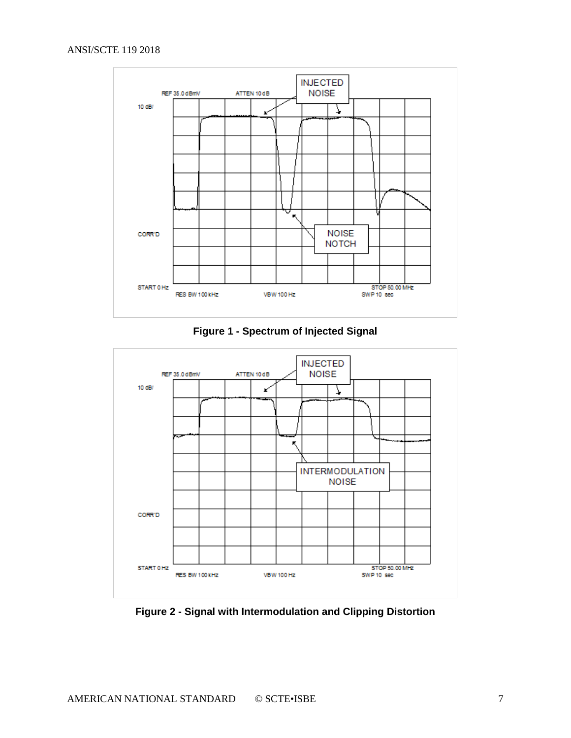



<span id="page-6-0"></span>

<span id="page-6-1"></span>**Figure 2 - Signal with Intermodulation and Clipping Distortion**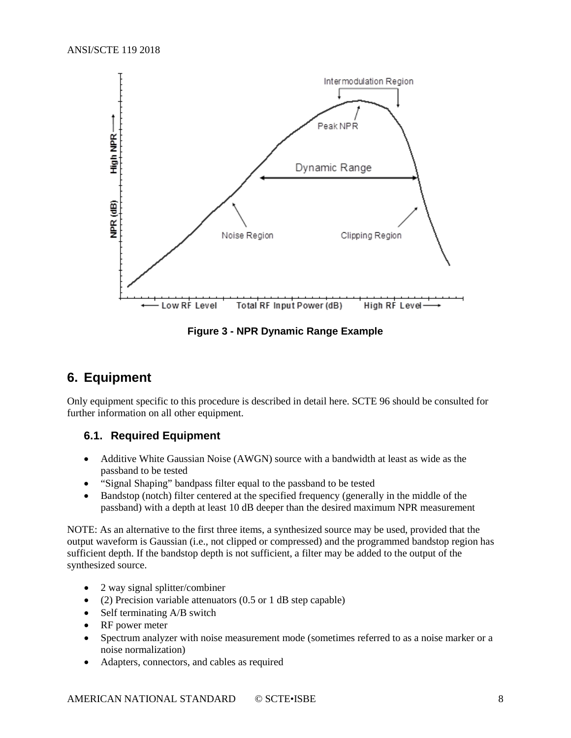

**Figure 3 - NPR Dynamic Range Example**

## <span id="page-7-2"></span><span id="page-7-0"></span>**6. Equipment**

Only equipment specific to this procedure is described in detail here. SCTE 96 should be consulted for further information on all other equipment.

#### <span id="page-7-1"></span>**6.1. Required Equipment**

- Additive White Gaussian Noise (AWGN) source with a bandwidth at least as wide as the passband to be tested
- "Signal Shaping" bandpass filter equal to the passband to be tested
- Bandstop (notch) filter centered at the specified frequency (generally in the middle of the passband) with a depth at least 10 dB deeper than the desired maximum NPR measurement

NOTE: As an alternative to the first three items, a synthesized source may be used, provided that the output waveform is Gaussian (i.e., not clipped or compressed) and the programmed bandstop region has sufficient depth. If the bandstop depth is not sufficient, a filter may be added to the output of the synthesized source.

- 2 way signal splitter/combiner
- (2) Precision variable attenuators (0.5 or 1 dB step capable)
- Self terminating A/B switch
- RF power meter
- Spectrum analyzer with noise measurement mode (sometimes referred to as a noise marker or a noise normalization)
- Adapters, connectors, and cables as required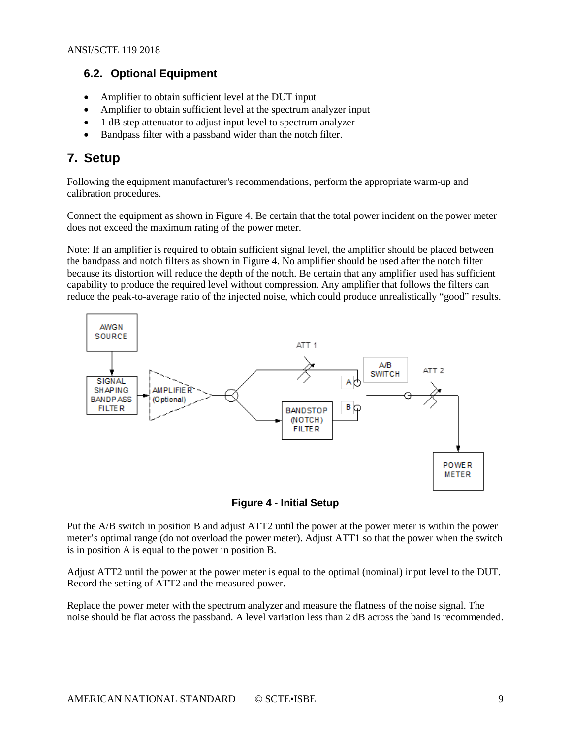#### <span id="page-8-0"></span>**6.2. Optional Equipment**

- Amplifier to obtain sufficient level at the DUT input
- Amplifier to obtain sufficient level at the spectrum analyzer input
- 1 dB step attenuator to adjust input level to spectrum analyzer
- Bandpass filter with a passband wider than the notch filter.

# <span id="page-8-1"></span>**7. Setup**

Following the equipment manufacturer's recommendations, perform the appropriate warm-up and calibration procedures.

Connect the equipment as shown in Figure 4. Be certain that the total power incident on the power meter does not exceed the maximum rating of the power meter.

Note: If an amplifier is required to obtain sufficient signal level, the amplifier should be placed between the bandpass and notch filters as shown in Figure 4. No amplifier should be used after the notch filter because its distortion will reduce the depth of the notch. Be certain that any amplifier used has sufficient capability to produce the required level without compression. Any amplifier that follows the filters can reduce the peak-to-average ratio of the injected noise, which could produce unrealistically "good" results.



**Figure 4 - Initial Setup**

<span id="page-8-2"></span>Put the A/B switch in position B and adjust ATT2 until the power at the power meter is within the power meter's optimal range (do not overload the power meter). Adjust ATT1 so that the power when the switch is in position A is equal to the power in position B.

Adjust ATT2 until the power at the power meter is equal to the optimal (nominal) input level to the DUT. Record the setting of ATT2 and the measured power.

Replace the power meter with the spectrum analyzer and measure the flatness of the noise signal. The noise should be flat across the passband. A level variation less than 2 dB across the band is recommended.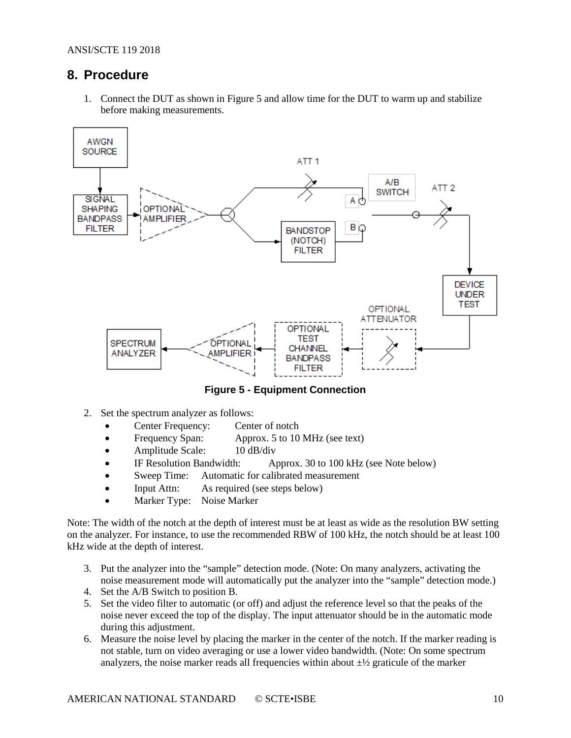## <span id="page-9-0"></span>**8. Procedure**

1. Connect the DUT as shown in Figure 5 and allow time for the DUT to warm up and stabilize before making measurements.



**Figure 5 - Equipment Connection**

- <span id="page-9-1"></span>2. Set the spectrum analyzer as follows:
	- Center Frequency: Center of notch
	- Frequency Span: Approx. 5 to 10 MHz (see text)
	- Amplitude Scale: 10 dB/div
	- IF Resolution Bandwidth: Approx. 30 to 100 kHz (see Note below)
	- Sweep Time: Automatic for calibrated measurement
	- Input Attn: As required (see steps below)
	- Marker Type: Noise Marker

Note: The width of the notch at the depth of interest must be at least as wide as the resolution BW setting on the analyzer. For instance, to use the recommended RBW of 100 kHz, the notch should be at least 100 kHz wide at the depth of interest.

- 3. Put the analyzer into the "sample" detection mode. (Note: On many analyzers, activating the noise measurement mode will automatically put the analyzer into the "sample" detection mode.)
- 4. Set the A/B Switch to position B.
- 5. Set the video filter to automatic (or off) and adjust the reference level so that the peaks of the noise never exceed the top of the display. The input attenuator should be in the automatic mode during this adjustment.
- 6. Measure the noise level by placing the marker in the center of the notch. If the marker reading is not stable, turn on video averaging or use a lower video bandwidth. (Note: On some spectrum analyzers, the noise marker reads all frequencies within about  $\pm\frac{1}{2}$  graticule of the marker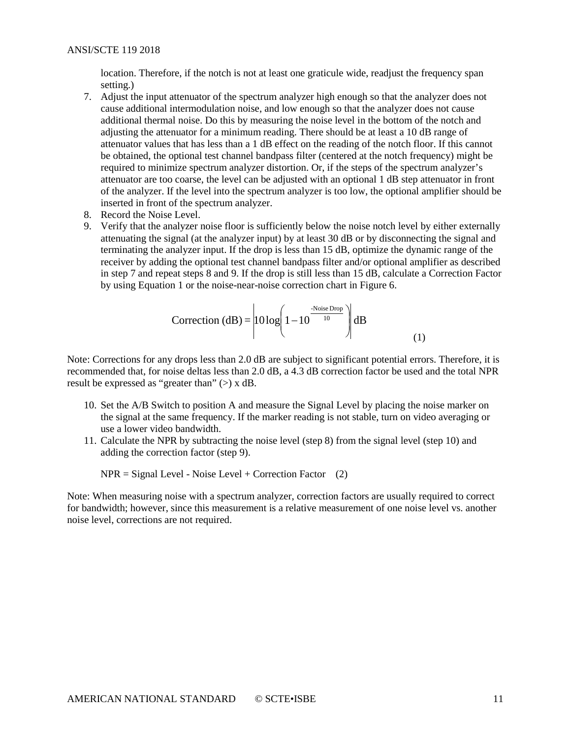location. Therefore, if the notch is not at least one graticule wide, readjust the frequency span setting.)

- 7. Adjust the input attenuator of the spectrum analyzer high enough so that the analyzer does not cause additional intermodulation noise, and low enough so that the analyzer does not cause additional thermal noise. Do this by measuring the noise level in the bottom of the notch and adjusting the attenuator for a minimum reading. There should be at least a 10 dB range of attenuator values that has less than a 1 dB effect on the reading of the notch floor. If this cannot be obtained, the optional test channel bandpass filter (centered at the notch frequency) might be required to minimize spectrum analyzer distortion. Or, if the steps of the spectrum analyzer's attenuator are too coarse, the level can be adjusted with an optional 1 dB step attenuator in front of the analyzer. If the level into the spectrum analyzer is too low, the optional amplifier should be inserted in front of the spectrum analyzer.
- 8. Record the Noise Level.
- 9. Verify that the analyzer noise floor is sufficiently below the noise notch level by either externally attenuating the signal (at the analyzer input) by at least 30 dB or by disconnecting the signal and terminating the analyzer input. If the drop is less than 15 dB, optimize the dynamic range of the receiver by adding the optional test channel bandpass filter and/or optional amplifier as described in step 7 and repeat steps 8 and 9. If the drop is still less than 15 dB, calculate a Correction Factor by using Equation 1 or the noise-near-noise correction chart in Figure 6.

$$
Correction (dB) = \left| 10 \log \left( 1 - 10^{\frac{Noise Drop}{10}} \right) \right| dB \tag{1}
$$

Note: Corrections for any drops less than 2.0 dB are subject to significant potential errors. Therefore, it is recommended that, for noise deltas less than 2.0 dB, a 4.3 dB correction factor be used and the total NPR result be expressed as "greater than"  $(>)$  x dB.

- 10. Set the A/B Switch to position A and measure the Signal Level by placing the noise marker on the signal at the same frequency. If the marker reading is not stable, turn on video averaging or use a lower video bandwidth.
- 11. Calculate the NPR by subtracting the noise level (step 8) from the signal level (step 10) and adding the correction factor (step 9).

 $NPR = Signal Level - Noise Level + Correction Factor$  (2)

Note: When measuring noise with a spectrum analyzer, correction factors are usually required to correct for bandwidth; however, since this measurement is a relative measurement of one noise level vs. another noise level, corrections are not required.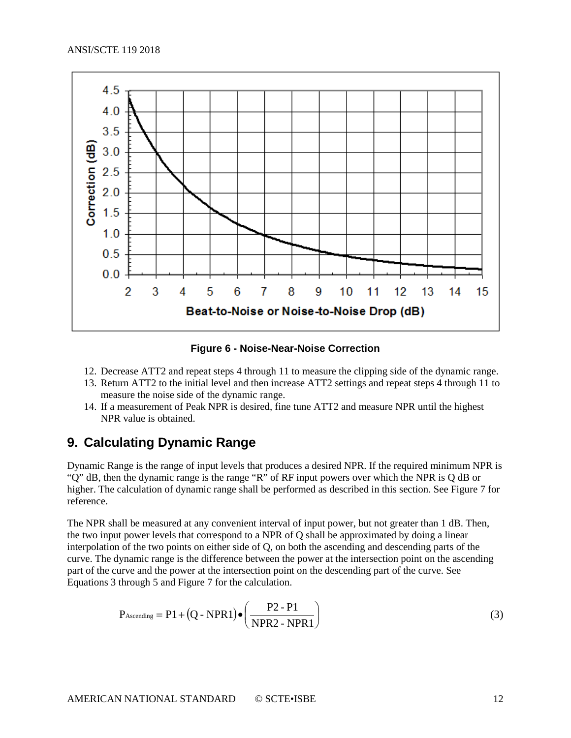

**Figure 6 - Noise-Near-Noise Correction**

- <span id="page-11-1"></span>12. Decrease ATT2 and repeat steps 4 through 11 to measure the clipping side of the dynamic range.
- 13. Return ATT2 to the initial level and then increase ATT2 settings and repeat steps 4 through 11 to measure the noise side of the dynamic range.
- 14. If a measurement of Peak NPR is desired, fine tune ATT2 and measure NPR until the highest NPR value is obtained.

## <span id="page-11-0"></span>**9. Calculating Dynamic Range**

Dynamic Range is the range of input levels that produces a desired NPR. If the required minimum NPR is "Q" dB, then the dynamic range is the range "R" of RF input powers over which the NPR is Q dB or higher. The calculation of dynamic range shall be performed as described in this section. See Figure 7 for reference.

The NPR shall be measured at any convenient interval of input power, but not greater than 1 dB. Then, the two input power levels that correspond to a NPR of Q shall be approximated by doing a linear interpolation of the two points on either side of Q, on both the ascending and descending parts of the curve. The dynamic range is the difference between the power at the intersection point on the ascending part of the curve and the power at the intersection point on the descending part of the curve. See Equations 3 through 5 and Figure 7 for the calculation.

$$
P_{\text{Ascending}} = P1 + (Q - NPR1) \bullet \left( \frac{P2 - P1}{NPR2 - NPR1} \right) \tag{3}
$$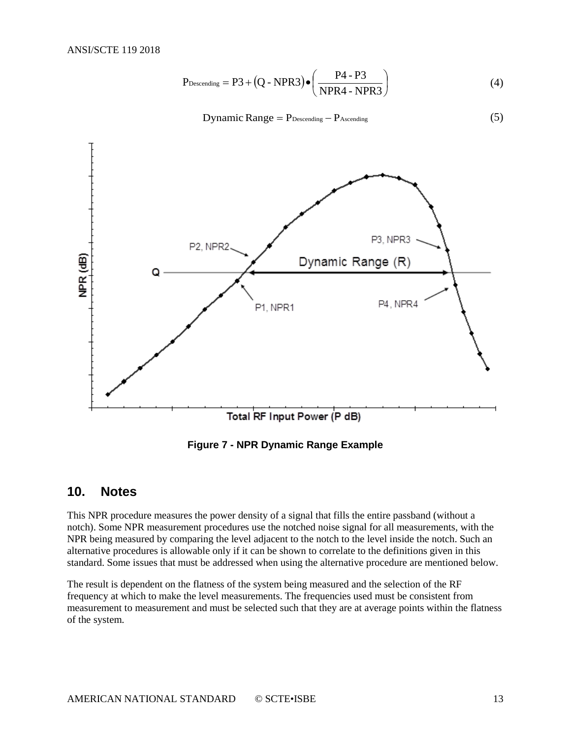$$
P_{\text{Descending}} = P3 + (Q - NPR3) \bullet \left( \frac{P4 - P3}{NPR4 - NPR3} \right) \tag{4}
$$

Dynamic Range =  $P_{\text{Descending}} - P_{\text{Ascending}}$  (5)



**Figure 7 - NPR Dynamic Range Example**

#### <span id="page-12-1"></span><span id="page-12-0"></span>**10. Notes**

This NPR procedure measures the power density of a signal that fills the entire passband (without a notch). Some NPR measurement procedures use the notched noise signal for all measurements, with the NPR being measured by comparing the level adjacent to the notch to the level inside the notch. Such an alternative procedures is allowable only if it can be shown to correlate to the definitions given in this standard. Some issues that must be addressed when using the alternative procedure are mentioned below.

The result is dependent on the flatness of the system being measured and the selection of the RF frequency at which to make the level measurements. The frequencies used must be consistent from measurement to measurement and must be selected such that they are at average points within the flatness of the system.